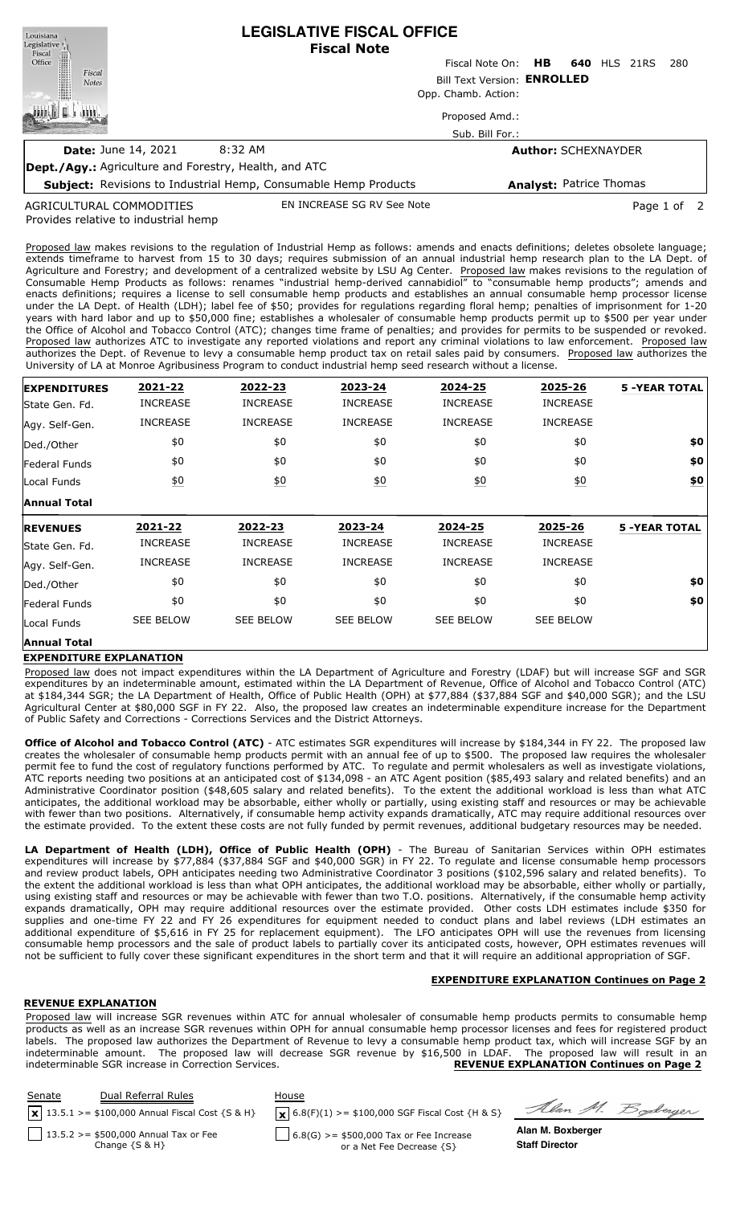| Louisiana<br>Legislative <sup>1</sup><br>Fiscal              | <b>LEGISLATIVE FISCAL OFFICE</b><br><b>Fiscal Note</b>                 |                                   |                            |  |         |             |      |  |
|--------------------------------------------------------------|------------------------------------------------------------------------|-----------------------------------|----------------------------|--|---------|-------------|------|--|
| Office                                                       | Fiscal Note On:                                                        |                                   |                            |  | 640 HLS | 21RS        | -280 |  |
| Fiscal<br><b>Notes</b>                                       | Bill Text Version: ENROLLED                                            |                                   |                            |  |         |             |      |  |
|                                                              | Opp. Chamb. Action:                                                    |                                   |                            |  |         |             |      |  |
|                                                              |                                                                        | Proposed Amd.:<br>Sub. Bill For.: |                            |  |         |             |      |  |
| <b>Date: June 14, 2021</b>                                   | 8:32 AM                                                                |                                   | <b>Author: SCHEXNAYDER</b> |  |         |             |      |  |
| <b>Dept./Agy.:</b> Agriculture and Forestry, Health, and ATC |                                                                        |                                   |                            |  |         |             |      |  |
|                                                              | <b>Subject:</b> Revisions to Industrial Hemp, Consumable Hemp Products |                                   | Analyst: Patrice Thomas    |  |         |             |      |  |
| AGRICULTURAL COMMODITIES                                     | EN INCREASE SG RV See Note                                             |                                   |                            |  |         | Page 1 of 2 |      |  |

Provides relative to industrial hemp AGRICULTURAL COMMODITIES

Proposed law makes revisions to the regulation of Industrial Hemp as follows: amends and enacts definitions; deletes obsolete language; extends timeframe to harvest from 15 to 30 days; requires submission of an annual industrial hemp research plan to the LA Dept. of Agriculture and Forestry; and development of a centralized website by LSU Ag Center. Proposed law makes revisions to the regulation of Consumable Hemp Products as follows: renames "industrial hemp-derived cannabidiol" to "consumable hemp products"; amends and enacts definitions; requires a license to sell consumable hemp products and establishes an annual consumable hemp processor license under the LA Dept. of Health (LDH); label fee of \$50; provides for regulations regarding floral hemp; penalties of imprisonment for 1-20 years with hard labor and up to \$50,000 fine; establishes a wholesaler of consumable hemp products permit up to \$500 per year under the Office of Alcohol and Tobacco Control (ATC); changes time frame of penalties; and provides for permits to be suspended or revoked. Proposed law authorizes ATC to investigate any reported violations and report any criminal violations to law enforcement. Proposed law authorizes the Dept. of Revenue to levy a consumable hemp product tax on retail sales paid by consumers. Proposed law authorizes the University of LA at Monroe Agribusiness Program to conduct industrial hemp seed research without a license.

| <b>EXPENDITURES</b> | 2021-22          | 2022-23          | 2023-24          | 2024-25          | 2025-26          | <b>5 -YEAR TOTAL</b> |
|---------------------|------------------|------------------|------------------|------------------|------------------|----------------------|
| State Gen. Fd.      | <b>INCREASE</b>  | <b>INCREASE</b>  | <b>INCREASE</b>  | <b>INCREASE</b>  | <b>INCREASE</b>  |                      |
| Agy. Self-Gen.      | <b>INCREASE</b>  | <b>INCREASE</b>  | <b>INCREASE</b>  | <b>INCREASE</b>  | <b>INCREASE</b>  |                      |
| Ded./Other          | \$0              | \$0              | \$0              | \$0              | \$0              | \$0                  |
| Federal Funds       | \$0              | \$0              | \$0              | \$0              | \$0              | \$0                  |
| Local Funds         | \$0              | $\underline{50}$ | \$0              | 60               | \$0              | \$0                  |
| <b>Annual Total</b> |                  |                  |                  |                  |                  |                      |
| <b>REVENUES</b>     | 2021-22          | 2022-23          | 2023-24          | 2024-25          | 2025-26          | <b>5 -YEAR TOTAL</b> |
| State Gen. Fd.      | <b>INCREASE</b>  | <b>INCREASE</b>  | <b>INCREASE</b>  | <b>INCREASE</b>  | <b>INCREASE</b>  |                      |
|                     |                  |                  |                  |                  |                  |                      |
| Agy. Self-Gen.      | <b>INCREASE</b>  | <b>INCREASE</b>  | <b>INCREASE</b>  | <b>INCREASE</b>  | <b>INCREASE</b>  |                      |
| Ded./Other          | \$0              | \$0              | \$0              | \$0              | \$0              | \$0                  |
| Federal Funds       | \$0              | \$0              | \$0              | \$0              | \$0              | \$0                  |
| Local Funds         | <b>SEE BELOW</b> | <b>SEE BELOW</b> | <b>SEE BELOW</b> | <b>SEE BELOW</b> | <b>SEE BELOW</b> |                      |

## **EXPENDITURE EXPLANATION**

Proposed law does not impact expenditures within the LA Department of Agriculture and Forestry (LDAF) but will increase SGF and SGR expenditures by an indeterminable amount, estimated within the LA Department of Revenue, Office of Alcohol and Tobacco Control (ATC) at \$184,344 SGR; the LA Department of Health, Office of Public Health (OPH) at \$77,884 (\$37,884 SGF and \$40,000 SGR); and the LSU Agricultural Center at \$80,000 SGF in FY 22. Also, the proposed law creates an indeterminable expenditure increase for the Department of Public Safety and Corrections - Corrections Services and the District Attorneys.

**Office of Alcohol and Tobacco Control (ATC)** - ATC estimates SGR expenditures will increase by \$184,344 in FY 22. The proposed law creates the wholesaler of consumable hemp products permit with an annual fee of up to \$500. The proposed law requires the wholesaler permit fee to fund the cost of regulatory functions performed by ATC. To regulate and permit wholesalers as well as investigate violations, ATC reports needing two positions at an anticipated cost of \$134,098 - an ATC Agent position (\$85,493 salary and related benefits) and an Administrative Coordinator position (\$48,605 salary and related benefits). To the extent the additional workload is less than what ATC anticipates, the additional workload may be absorbable, either wholly or partially, using existing staff and resources or may be achievable with fewer than two positions. Alternatively, if consumable hemp activity expands dramatically, ATC may require additional resources over the estimate provided. To the extent these costs are not fully funded by permit revenues, additional budgetary resources may be needed.

**LA Department of Health (LDH), Office of Public Health (OPH)** - The Bureau of Sanitarian Services within OPH estimates expenditures will increase by \$77,884 (\$37,884 SGF and \$40,000 SGR) in FY 22. To regulate and license consumable hemp processors and review product labels, OPH anticipates needing two Administrative Coordinator 3 positions (\$102,596 salary and related benefits). To the extent the additional workload is less than what OPH anticipates, the additional workload may be absorbable, either wholly or partially, using existing staff and resources or may be achievable with fewer than two T.O. positions. Alternatively, if the consumable hemp activity expands dramatically, OPH may require additional resources over the estimate provided. Other costs LDH estimates include \$350 for supplies and one-time FY 22 and FY 26 expenditures for equipment needed to conduct plans and label reviews (LDH estimates an additional expenditure of \$5,616 in FY 25 for replacement equipment). The LFO anticipates OPH will use the revenues from licensing consumable hemp processors and the sale of product labels to partially cover its anticipated costs, however, OPH estimates revenues will not be sufficient to fully cover these significant expenditures in the short term and that it will require an additional appropriation of SGF.

# **EXPENDITURE EXPLANATION Continues on Page 2**

## **REVENUE EXPLANATION**

Proposed law will increase SGR revenues within ATC for annual wholesaler of consumable hemp products permits to consumable hemp products as well as an increase SGR revenues within OPH for annual consumable hemp processor licenses and fees for registered product labels. The proposed law authorizes the Department of Revenue to levy a consumable hemp product tax, which will increase SGF by an indeterminable amount. The proposed law will decrease SGR revenue by \$16,500 in LDAF. The proposed law will result in an indeterminable SGR increase in Correction Services. **REVENUE EXPLANATION Continues on Page 2**

| <b>Senate</b> | Dual Referral Rules<br>$x$ 13.5.1 > = \$100,000 Annual Fiscal Cost {S & H} | House<br>$\mathbf{X}$ 6.8(F)(1) >= \$100,000 SGF Fiscal Cost {H & S} | Alan M. Boderger      |
|---------------|----------------------------------------------------------------------------|----------------------------------------------------------------------|-----------------------|
|               | 13.5.2 > = $$500,000$ Annual Tax or Fee                                    | $6.8(G)$ >= \$500,000 Tax or Fee Increase                            | Alan M. Boxberger     |
|               | Change $\{S \& H\}$                                                        | or a Net Fee Decrease {S}                                            | <b>Staff Director</b> |